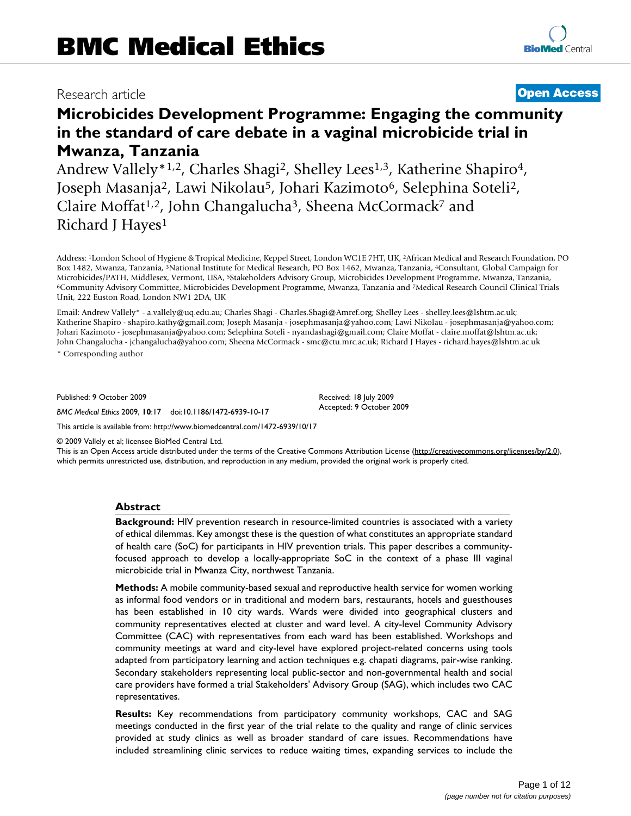## Research article **[Open Access](http://www.biomedcentral.com/info/about/charter/)**

# **Microbicides Development Programme: Engaging the community in the standard of care debate in a vaginal microbicide trial in Mwanza, Tanzania**

Andrew Vallely<sup>\*1,2</sup>, Charles Shagi<sup>2</sup>, Shelley Lees<sup>1,3</sup>, Katherine Shapiro<sup>4</sup>, Joseph Masanja2, Lawi Nikolau5, Johari Kazimoto6, Selephina Soteli2, Claire Moffat<sup>1,2</sup>, John Changalucha<sup>3</sup>, Sheena McCormack<sup>7</sup> and Richard J Hayes<sup>1</sup>

Address: 1London School of Hygiene & Tropical Medicine, Keppel Street, London WC1E 7HT, UK, 2African Medical and Research Foundation, PO Box 1482, Mwanza, Tanzania, 3National Institute for Medical Research, PO Box 1462, Mwanza, Tanzania, 4Consultant, Global Campaign for Microbicides/PATH, Middlesex, Vermont, USA, <sup>5</sup>Stakeholders Advisory Group, Microbicides Development Programme, Mwanza, Tanzania,<br><sup>6</sup>Community Advisory Committee, Microbicides Development Programme, Mwanza, Tanzania and <sup>7</sup> Unit, 222 Euston Road, London NW1 2DA, UK

Email: Andrew Vallely\* - a.vallely@uq.edu.au; Charles Shagi - Charles.Shagi@Amref.org; Shelley Lees - shelley.lees@lshtm.ac.uk; Katherine Shapiro - shapiro.kathy@gmail.com; Joseph Masanja - josephmasanja@yahoo.com; Lawi Nikolau - josephmasanja@yahoo.com; Johari Kazimoto - josephmasanja@yahoo.com; Selephina Soteli - nyandashagi@gmail.com; Claire Moffat - claire.moffat@lshtm.ac.uk; John Changalucha - jchangalucha@yahoo.com; Sheena McCormack - smc@ctu.mrc.ac.uk; Richard J Hayes - richard.hayes@lshtm.ac.uk

\* Corresponding author

Published: 9 October 2009

*BMC Medical Ethics* 2009, **10**:17 doi:10.1186/1472-6939-10-17

Received: 18 July 2009 Accepted: 9 October 2009

[This article is available from: http://www.biomedcentral.com/1472-6939/10/17](http://www.biomedcentral.com/1472-6939/10/17)

© 2009 Vallely et al; licensee BioMed Central Ltd.

This is an Open Access article distributed under the terms of the Creative Commons Attribution License [\(http://creativecommons.org/licenses/by/2.0\)](http://creativecommons.org/licenses/by/2.0), which permits unrestricted use, distribution, and reproduction in any medium, provided the original work is properly cited.

#### **Abstract**

**Background:** HIV prevention research in resource-limited countries is associated with a variety of ethical dilemmas. Key amongst these is the question of what constitutes an appropriate standard of health care (SoC) for participants in HIV prevention trials. This paper describes a communityfocused approach to develop a locally-appropriate SoC in the context of a phase III vaginal microbicide trial in Mwanza City, northwest Tanzania.

**Methods:** A mobile community-based sexual and reproductive health service for women working as informal food vendors or in traditional and modern bars, restaurants, hotels and guesthouses has been established in 10 city wards. Wards were divided into geographical clusters and community representatives elected at cluster and ward level. A city-level Community Advisory Committee (CAC) with representatives from each ward has been established. Workshops and community meetings at ward and city-level have explored project-related concerns using tools adapted from participatory learning and action techniques e.g. chapati diagrams, pair-wise ranking. Secondary stakeholders representing local public-sector and non-governmental health and social care providers have formed a trial Stakeholders' Advisory Group (SAG), which includes two CAC representatives.

**Results:** Key recommendations from participatory community workshops, CAC and SAG meetings conducted in the first year of the trial relate to the quality and range of clinic services provided at study clinics as well as broader standard of care issues. Recommendations have included streamlining clinic services to reduce waiting times, expanding services to include the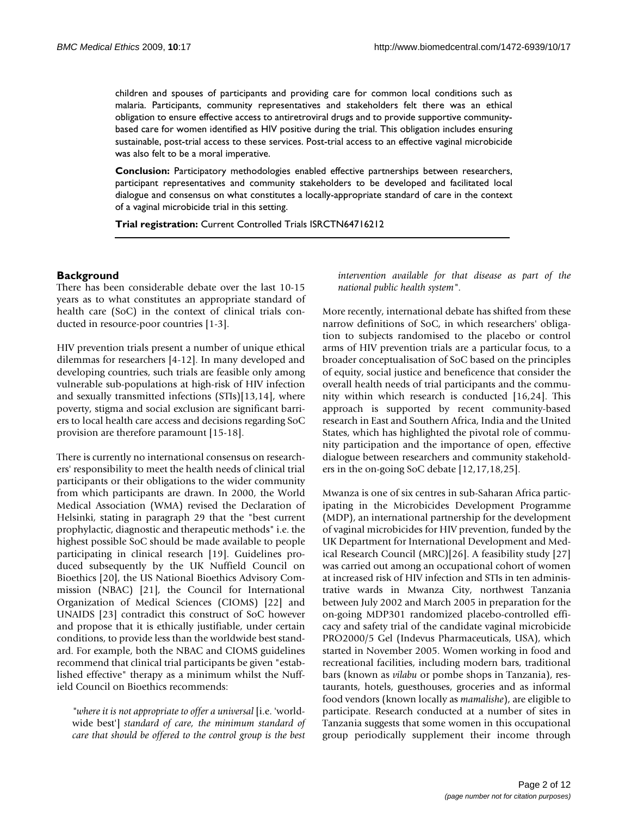children and spouses of participants and providing care for common local conditions such as malaria. Participants, community representatives and stakeholders felt there was an ethical obligation to ensure effective access to antiretroviral drugs and to provide supportive communitybased care for women identified as HIV positive during the trial. This obligation includes ensuring sustainable, post-trial access to these services. Post-trial access to an effective vaginal microbicide was also felt to be a moral imperative.

**Conclusion:** Participatory methodologies enabled effective partnerships between researchers, participant representatives and community stakeholders to be developed and facilitated local dialogue and consensus on what constitutes a locally-appropriate standard of care in the context of a vaginal microbicide trial in this setting.

**Trial registration:** Current Controlled Trials ISRCTN64716212

#### **Background**

There has been considerable debate over the last 10-15 years as to what constitutes an appropriate standard of health care (SoC) in the context of clinical trials conducted in resource-poor countries [[1](#page-10-0)[-3\]](#page-11-0).

HIV prevention trials present a number of unique ethical dilemmas for researchers [\[4](#page-11-1)[-12](#page-11-2)]. In many developed and developing countries, such trials are feasible only among vulnerable sub-populations at high-risk of HIV infection and sexually transmitted infections (STIs)[\[13](#page-11-3)[,14](#page-11-4)], where poverty, stigma and social exclusion are significant barriers to local health care access and decisions regarding SoC provision are therefore paramount [\[15](#page-11-5)[-18](#page-11-6)].

There is currently no international consensus on researchers' responsibility to meet the health needs of clinical trial participants or their obligations to the wider community from which participants are drawn. In 2000, the World Medical Association (WMA) revised the Declaration of Helsinki, stating in paragraph 29 that the "best current prophylactic, diagnostic and therapeutic methods" i.e. the highest possible SoC should be made available to people participating in clinical research [[19\]](#page-11-7). Guidelines produced subsequently by the UK Nuffield Council on Bioethics [[20\]](#page-11-8), the US National Bioethics Advisory Commission (NBAC) [\[21\]](#page-11-9), the Council for International Organization of Medical Sciences (CIOMS) [[22\]](#page-11-10) and UNAIDS [\[23](#page-11-11)] contradict this construct of SoC however and propose that it is ethically justifiable, under certain conditions, to provide less than the worldwide best standard. For example, both the NBAC and CIOMS guidelines recommend that clinical trial participants be given "established effective" therapy as a minimum whilst the Nuffield Council on Bioethics recommends:

*"where it is not appropriate to offer a universal* [i.e. 'worldwide best'] *standard of care, the minimum standard of care that should be offered to the control group is the best*

*intervention available for that disease as part of the national public health system"*.

More recently, international debate has shifted from these narrow definitions of SoC, in which researchers' obligation to subjects randomised to the placebo or control arms of HIV prevention trials are a particular focus, to a broader conceptualisation of SoC based on the principles of equity, social justice and beneficence that consider the overall health needs of trial participants and the community within which research is conducted [\[16](#page-11-12),[24](#page-11-13)]. This approach is supported by recent community-based research in East and Southern Africa, India and the United States, which has highlighted the pivotal role of community participation and the importance of open, effective dialogue between researchers and community stakeholders in the on-going SoC debate [\[12](#page-11-2),[17,](#page-11-14)[18](#page-11-6),[25](#page-11-15)].

Mwanza is one of six centres in sub-Saharan Africa participating in the Microbicides Development Programme (MDP), an international partnership for the development of vaginal microbicides for HIV prevention, funded by the UK Department for International Development and Medical Research Council (MRC)[[26\]](#page-11-16). A feasibility study [[27\]](#page-11-17) was carried out among an occupational cohort of women at increased risk of HIV infection and STIs in ten administrative wards in Mwanza City, northwest Tanzania between July 2002 and March 2005 in preparation for the on-going MDP301 randomized placebo-controlled efficacy and safety trial of the candidate vaginal microbicide PRO2000/5 Gel (Indevus Pharmaceuticals, USA), which started in November 2005. Women working in food and recreational facilities, including modern bars, traditional bars (known as *vilabu* or pombe shops in Tanzania), restaurants, hotels, guesthouses, groceries and as informal food vendors (known locally as *mamalishe*), are eligible to participate. Research conducted at a number of sites in Tanzania suggests that some women in this occupational group periodically supplement their income through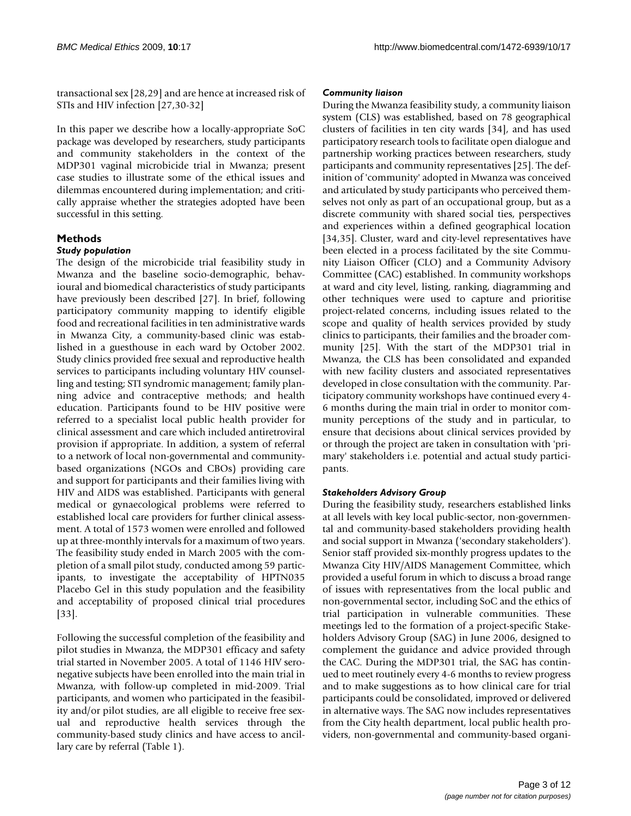transactional sex [[28,](#page-11-18)[29](#page-11-19)] and are hence at increased risk of STIs and HIV infection [\[27](#page-11-17),[30-](#page-11-20)[32\]](#page-11-21)

In this paper we describe how a locally-appropriate SoC package was developed by researchers, study participants and community stakeholders in the context of the MDP301 vaginal microbicide trial in Mwanza; present case studies to illustrate some of the ethical issues and dilemmas encountered during implementation; and critically appraise whether the strategies adopted have been successful in this setting.

## **Methods**

#### *Study population*

The design of the microbicide trial feasibility study in Mwanza and the baseline socio-demographic, behavioural and biomedical characteristics of study participants have previously been described [[27\]](#page-11-17). In brief, following participatory community mapping to identify eligible food and recreational facilities in ten administrative wards in Mwanza City, a community-based clinic was established in a guesthouse in each ward by October 2002. Study clinics provided free sexual and reproductive health services to participants including voluntary HIV counselling and testing; STI syndromic management; family planning advice and contraceptive methods; and health education. Participants found to be HIV positive were referred to a specialist local public health provider for clinical assessment and care which included antiretroviral provision if appropriate. In addition, a system of referral to a network of local non-governmental and communitybased organizations (NGOs and CBOs) providing care and support for participants and their families living with HIV and AIDS was established. Participants with general medical or gynaecological problems were referred to established local care providers for further clinical assessment. A total of 1573 women were enrolled and followed up at three-monthly intervals for a maximum of two years. The feasibility study ended in March 2005 with the completion of a small pilot study, conducted among 59 participants, to investigate the acceptability of HPTN035 Placebo Gel in this study population and the feasibility and acceptability of proposed clinical trial procedures [[33](#page-11-22)].

Following the successful completion of the feasibility and pilot studies in Mwanza, the MDP301 efficacy and safety trial started in November 2005. A total of 1146 HIV seronegative subjects have been enrolled into the main trial in Mwanza, with follow-up completed in mid-2009. Trial participants, and women who participated in the feasibility and/or pilot studies, are all eligible to receive free sexual and reproductive health services through the community-based study clinics and have access to ancillary care by referral (Table [1\)](#page-3-0).

#### *Community liaison*

During the Mwanza feasibility study, a community liaison system (CLS) was established, based on 78 geographical clusters of facilities in ten city wards [[34\]](#page-11-23), and has used participatory research tools to facilitate open dialogue and partnership working practices between researchers, study participants and community representatives [\[25](#page-11-15)]. The definition of 'community' adopted in Mwanza was conceived and articulated by study participants who perceived themselves not only as part of an occupational group, but as a discrete community with shared social ties, perspectives and experiences within a defined geographical location [[34](#page-11-23),[35\]](#page-11-24). Cluster, ward and city-level representatives have been elected in a process facilitated by the site Community Liaison Officer (CLO) and a Community Advisory Committee (CAC) established. In community workshops at ward and city level, listing, ranking, diagramming and other techniques were used to capture and prioritise project-related concerns, including issues related to the scope and quality of health services provided by study clinics to participants, their families and the broader community [[25\]](#page-11-15). With the start of the MDP301 trial in Mwanza, the CLS has been consolidated and expanded with new facility clusters and associated representatives developed in close consultation with the community. Participatory community workshops have continued every 4- 6 months during the main trial in order to monitor community perceptions of the study and in particular, to ensure that decisions about clinical services provided by or through the project are taken in consultation with 'primary' stakeholders i.e. potential and actual study participants.

#### *Stakeholders Advisory Group*

During the feasibility study, researchers established links at all levels with key local public-sector, non-governmental and community-based stakeholders providing health and social support in Mwanza ('secondary stakeholders'). Senior staff provided six-monthly progress updates to the Mwanza City HIV/AIDS Management Committee, which provided a useful forum in which to discuss a broad range of issues with representatives from the local public and non-governmental sector, including SoC and the ethics of trial participation in vulnerable communities. These meetings led to the formation of a project-specific Stakeholders Advisory Group (SAG) in June 2006, designed to complement the guidance and advice provided through the CAC. During the MDP301 trial, the SAG has continued to meet routinely every 4-6 months to review progress and to make suggestions as to how clinical care for trial participants could be consolidated, improved or delivered in alternative ways. The SAG now includes representatives from the City health department, local public health providers, non-governmental and community-based organi-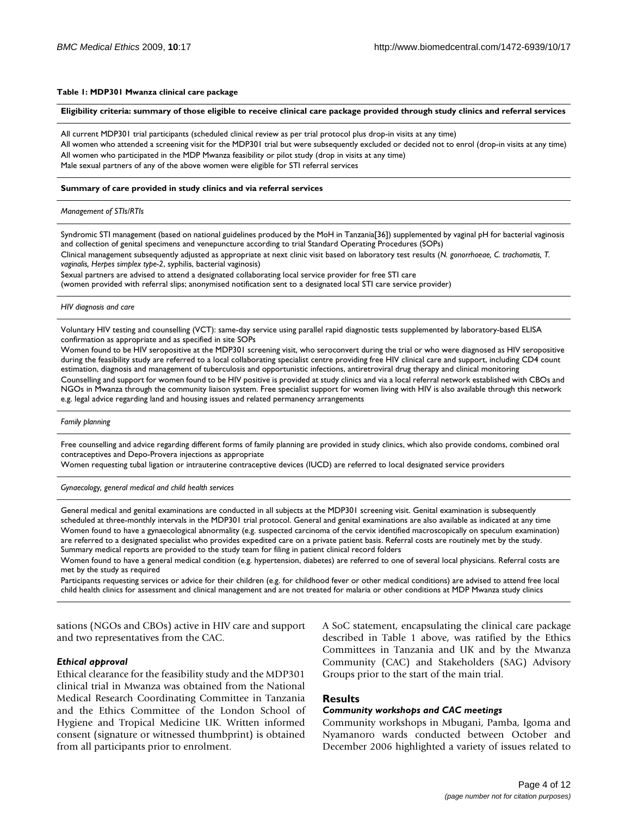#### <span id="page-3-0"></span>**Table 1: MDP301 Mwanza clinical care package**

#### **Eligibility criteria: summary of those eligible to receive clinical care package provided through study clinics and referral services**

All current MDP301 trial participants (scheduled clinical review as per trial protocol plus drop-in visits at any time) All women who attended a screening visit for the MDP301 trial but were subsequently excluded or decided not to enrol (drop-in visits at any time) All women who participated in the MDP Mwanza feasibility or pilot study (drop in visits at any time) Male sexual partners of any of the above women were eligible for STI referral services

#### **Summary of care provided in study clinics and via referral services**

#### *Management of STIs/RTIs*

Syndromic STI management (based on national guidelines produced by the MoH in Tanzania[\[36](#page-11-25)]) supplemented by vaginal pH for bacterial vaginosis and collection of genital specimens and venepuncture according to trial Standard Operating Procedures (SOPs)

Clinical management subsequently adjusted as appropriate at next clinic visit based on laboratory test results (*N. gonorrhoeae, C. trachomatis, T. vaginalis, Herpes simplex type-2*, syphilis, bacterial vaginosis)

Sexual partners are advised to attend a designated collaborating local service provider for free STI care (women provided with referral slips; anonymised notification sent to a designated local STI care service provider)

#### *HIV diagnosis and care*

Voluntary HIV testing and counselling (VCT): same-day service using parallel rapid diagnostic tests supplemented by laboratory-based ELISA confirmation as appropriate and as specified in site SOPs

Women found to be HIV seropositive at the MDP301 screening visit, who seroconvert during the trial or who were diagnosed as HIV seropositive during the feasibility study are referred to a local collaborating specialist centre providing free HIV clinical care and support, including CD4 count estimation, diagnosis and management of tuberculosis and opportunistic infections, antiretroviral drug therapy and clinical monitoring Counselling and support for women found to be HIV positive is provided at study clinics and via a local referral network established with CBOs and NGOs in Mwanza through the community liaison system. Free specialist support for women living with HIV is also available through this network e.g. legal advice regarding land and housing issues and related permanency arrangements

#### *Family planning*

Free counselling and advice regarding different forms of family planning are provided in study clinics, which also provide condoms, combined oral contraceptives and Depo-Provera injections as appropriate

Women requesting tubal ligation or intrauterine contraceptive devices (IUCD) are referred to local designated service providers

*Gynaecology, general medical and child health services*

General medical and genital examinations are conducted in all subjects at the MDP301 screening visit. Genital examination is subsequently scheduled at three-monthly intervals in the MDP301 trial protocol. General and genital examinations are also available as indicated at any time Women found to have a gynaecological abnormality (e.g. suspected carcinoma of the cervix identified macroscopically on speculum examination) are referred to a designated specialist who provides expedited care on a private patient basis. Referral costs are routinely met by the study. Summary medical reports are provided to the study team for filing in patient clinical record folders

Women found to have a general medical condition (e.g. hypertension, diabetes) are referred to one of several local physicians. Referral costs are met by the study as required

Participants requesting services or advice for their children (e.g. for childhood fever or other medical conditions) are advised to attend free local child health clinics for assessment and clinical management and are not treated for malaria or other conditions at MDP Mwanza study clinics

sations (NGOs and CBOs) active in HIV care and support and two representatives from the CAC.

#### *Ethical approval*

Ethical clearance for the feasibility study and the MDP301 clinical trial in Mwanza was obtained from the National Medical Research Coordinating Committee in Tanzania and the Ethics Committee of the London School of Hygiene and Tropical Medicine UK. Written informed consent (signature or witnessed thumbprint) is obtained from all participants prior to enrolment.

A SoC statement, encapsulating the clinical care package described in Table [1](#page-3-0) above, was ratified by the Ethics Committees in Tanzania and UK and by the Mwanza Community (CAC) and Stakeholders (SAG) Advisory Groups prior to the start of the main trial.

## **Results**

#### *Community workshops and CAC meetings*

Community workshops in Mbugani, Pamba, Igoma and Nyamanoro wards conducted between October and December 2006 highlighted a variety of issues related to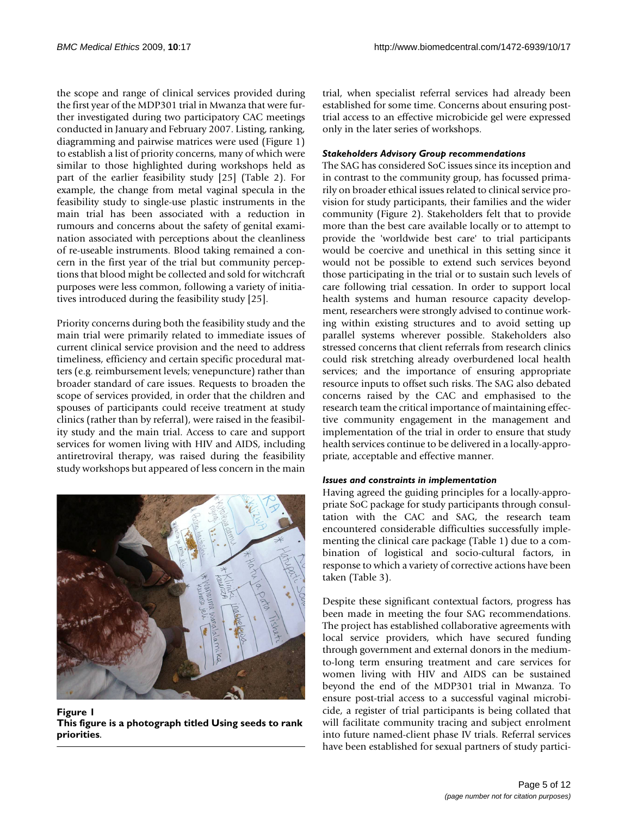the scope and range of clinical services provided during the first year of the MDP301 trial in Mwanza that were further investigated during two participatory CAC meetings conducted in January and February 2007. Listing, ranking, diagramming and pairwise matrices were used (Figure [1](#page-4-0)) to establish a list of priority concerns, many of which were similar to those highlighted during workshops held as part of the earlier feasibility study [\[25](#page-11-15)] (Table [2](#page-5-0)). For example, the change from metal vaginal specula in the feasibility study to single-use plastic instruments in the main trial has been associated with a reduction in rumours and concerns about the safety of genital examination associated with perceptions about the cleanliness of re-useable instruments. Blood taking remained a concern in the first year of the trial but community perceptions that blood might be collected and sold for witchcraft purposes were less common, following a variety of initiatives introduced during the feasibility study [[25\]](#page-11-15).

Priority concerns during both the feasibility study and the main trial were primarily related to immediate issues of current clinical service provision and the need to address timeliness, efficiency and certain specific procedural matters (e.g. reimbursement levels; venepuncture) rather than broader standard of care issues. Requests to broaden the scope of services provided, in order that the children and spouses of participants could receive treatment at study clinics (rather than by referral), were raised in the feasibility study and the main trial. Access to care and support services for women living with HIV and AIDS, including antiretroviral therapy, was raised during the feasibility study workshops but appeared of less concern in the main

<span id="page-4-0"></span>

Figure 1 **This figure is a photograph titled Using seeds to rank priorities**.

trial, when specialist referral services had already been established for some time. Concerns about ensuring posttrial access to an effective microbicide gel were expressed only in the later series of workshops.

### *Stakeholders Advisory Group recommendations*

The SAG has considered SoC issues since its inception and in contrast to the community group, has focussed primarily on broader ethical issues related to clinical service provision for study participants, their families and the wider community (Figure [2\)](#page-6-0). Stakeholders felt that to provide more than the best care available locally or to attempt to provide the 'worldwide best care' to trial participants would be coercive and unethical in this setting since it would not be possible to extend such services beyond those participating in the trial or to sustain such levels of care following trial cessation. In order to support local health systems and human resource capacity development, researchers were strongly advised to continue working within existing structures and to avoid setting up parallel systems wherever possible. Stakeholders also stressed concerns that client referrals from research clinics could risk stretching already overburdened local health services; and the importance of ensuring appropriate resource inputs to offset such risks. The SAG also debated concerns raised by the CAC and emphasised to the research team the critical importance of maintaining effective community engagement in the management and implementation of the trial in order to ensure that study health services continue to be delivered in a locally-appropriate, acceptable and effective manner.

#### *Issues and constraints in implementation*

Having agreed the guiding principles for a locally-appropriate SoC package for study participants through consultation with the CAC and SAG, the research team encountered considerable difficulties successfully implementing the clinical care package (Table [1\)](#page-3-0) due to a combination of logistical and socio-cultural factors, in response to which a variety of corrective actions have been taken (Table [3](#page-7-0)).

Despite these significant contextual factors, progress has been made in meeting the four SAG recommendations. The project has established collaborative agreements with local service providers, which have secured funding through government and external donors in the mediumto-long term ensuring treatment and care services for women living with HIV and AIDS can be sustained beyond the end of the MDP301 trial in Mwanza. To ensure post-trial access to a successful vaginal microbicide, a register of trial participants is being collated that will facilitate community tracing and subject enrolment into future named-client phase IV trials. Referral services have been established for sexual partners of study partici-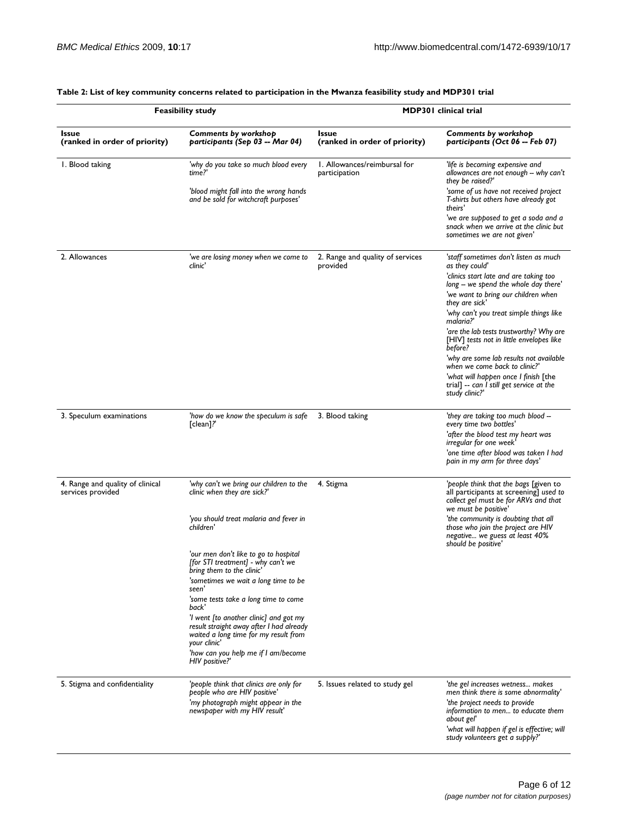| <b>Feasibility study</b>                              |                                                                                                                                             | <b>MDP301</b> clinical trial                  |                                                                                                                                                                     |
|-------------------------------------------------------|---------------------------------------------------------------------------------------------------------------------------------------------|-----------------------------------------------|---------------------------------------------------------------------------------------------------------------------------------------------------------------------|
| <b>Issue</b><br>(ranked in order of priority)         | Comments by workshop<br>participants (Sep 03 -- Mar 04)                                                                                     | <b>Issue</b><br>(ranked in order of priority) | Comments by workshop<br>participants (Oct 06 -- Feb 07)                                                                                                             |
| 1. Blood taking                                       | 'why do you take so much blood every<br>time?'                                                                                              | 1. Allowances/reimbursal for<br>participation | life is becoming expensive and<br>allowances are not enough -- why can't<br>they be raised?'                                                                        |
|                                                       | 'blood might fall into the wrong hands<br>and be sold for witchcraft purposes'                                                              |                                               | 'some of us have not received project<br>T-shirts but others have already got<br>theirs'                                                                            |
|                                                       |                                                                                                                                             |                                               | 'we are supposed to get a soda and a<br>snack when we arrive at the clinic but<br>sometimes we are not given'                                                       |
| 2. Allowances                                         | 'we are losing money when we come to<br>clinic'                                                                                             | 2. Range and quality of services<br>provided  | 'staff sometimes don't listen as much<br>as they could'                                                                                                             |
|                                                       |                                                                                                                                             |                                               | 'clinics start late and are taking too<br>long -- we spend the whole day there'                                                                                     |
|                                                       |                                                                                                                                             |                                               | 'we want to bring our children when<br>they are sick'                                                                                                               |
|                                                       |                                                                                                                                             |                                               | 'why can't you treat simple things like<br>malaria?'                                                                                                                |
|                                                       |                                                                                                                                             |                                               | 'are the lab tests trustworthy? Why are<br>[HIV] tests not in little envelopes like<br>before?                                                                      |
|                                                       |                                                                                                                                             |                                               | 'why are some lab results not available<br>when we come back to clinic?"                                                                                            |
|                                                       |                                                                                                                                             |                                               | 'what will happen once I finish [the<br>trial] -- can I still get service at the<br>study clinic?'                                                                  |
| 3. Speculum examinations                              | 'how do we know the speculum is safe<br>[clean]?'                                                                                           | 3. Blood taking                               | 'they are taking too much blood --<br>every time two bottles'                                                                                                       |
|                                                       |                                                                                                                                             |                                               | 'after the blood test my heart was<br>irregular for one week <sup>1</sup><br>'one time after blood was taken I had                                                  |
|                                                       |                                                                                                                                             |                                               | pain in my arm for three days'                                                                                                                                      |
| 4. Range and quality of clinical<br>services provided | 'why can't we bring our children to the<br>clinic when they are sick?"                                                                      | 4. Stigma                                     | 'people think that the bags [given to<br>all participants at screening] used to<br>collect gel must be for ARVs and that<br>we must be positive'                    |
|                                                       | 'you should treat malaria and fever in<br>children'                                                                                         |                                               | 'the community is doubting that all<br>those who join the project are HIV<br>negative we guess at least 40%<br>should be positive'                                  |
|                                                       | 'our men don't like to go to hospital<br>[for STI treatment] - why can't we<br>bring them to the clinic'                                    |                                               |                                                                                                                                                                     |
|                                                       | 'sometimes we wait a long time to be<br>seen'                                                                                               |                                               |                                                                                                                                                                     |
|                                                       | 'some tests take a long time to come<br>back'                                                                                               |                                               |                                                                                                                                                                     |
|                                                       | 'I went [to another clinic] and got my<br>result straight away after I had already<br>waited a long time for my result from<br>your clinic' |                                               |                                                                                                                                                                     |
|                                                       | 'how can you help me if I am/become<br>HIV positive?'                                                                                       |                                               |                                                                                                                                                                     |
| 5. Stigma and confidentiality                         | 'people think that clinics are only for<br>people who are HIV positive'                                                                     | 5. Issues related to study gel                | 'the gel increases wetness makes<br>men think there is some abnormality'                                                                                            |
|                                                       | 'my photograph might appear in the<br>newspaper with my HIV result'                                                                         |                                               | 'the project needs to provide<br>information to men to educate them<br>about gel'<br>'what will happen if gel is effective; will<br>study volunteers get a supply?" |

## <span id="page-5-0"></span>**Table 2: List of key community concerns related to participation in the Mwanza feasibility study and MDP301 trial**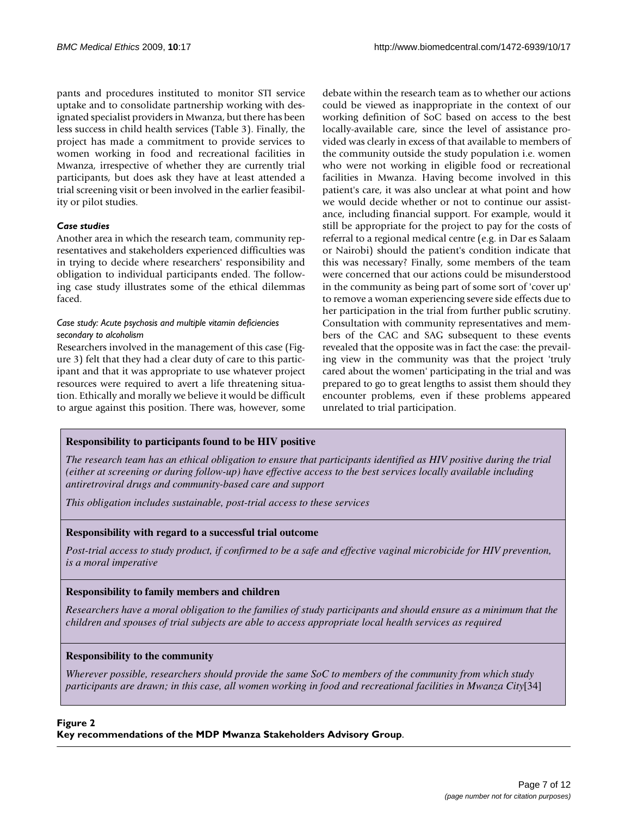pants and procedures instituted to monitor STI service uptake and to consolidate partnership working with designated specialist providers in Mwanza, but there has been less success in child health services (Table [3\)](#page-7-0). Finally, the project has made a commitment to provide services to women working in food and recreational facilities in Mwanza, irrespective of whether they are currently trial participants, but does ask they have at least attended a trial screening visit or been involved in the earlier feasibility or pilot studies.

#### *Case studies*

Another area in which the research team, community representatives and stakeholders experienced difficulties was in trying to decide where researchers' responsibility and obligation to individual participants ended. The following case study illustrates some of the ethical dilemmas faced.

#### *Case study: Acute psychosis and multiple vitamin deficiencies secondary to alcoholism*

Researchers involved in the management of this case (Figure [3\)](#page-9-0) felt that they had a clear duty of care to this participant and that it was appropriate to use whatever project resources were required to avert a life threatening situation. Ethically and morally we believe it would be difficult to argue against this position. There was, however, some debate within the research team as to whether our actions could be viewed as inappropriate in the context of our working definition of SoC based on access to the best locally-available care, since the level of assistance provided was clearly in excess of that available to members of the community outside the study population i.e. women who were not working in eligible food or recreational facilities in Mwanza. Having become involved in this patient's care, it was also unclear at what point and how we would decide whether or not to continue our assistance, including financial support. For example, would it still be appropriate for the project to pay for the costs of referral to a regional medical centre (e.g. in Dar es Salaam or Nairobi) should the patient's condition indicate that this was necessary? Finally, some members of the team were concerned that our actions could be misunderstood in the community as being part of some sort of 'cover up' to remove a woman experiencing severe side effects due to her participation in the trial from further public scrutiny. Consultation with community representatives and members of the CAC and SAG subsequent to these events revealed that the opposite was in fact the case: the prevailing view in the community was that the project 'truly cared about the women' participating in the trial and was prepared to go to great lengths to assist them should they encounter problems, even if these problems appeared unrelated to trial participation.

#### <span id="page-6-0"></span>**Responsibility to participants found to be HIV positive**

*The research team has an ethical obligation to ensure that participants identified as HIV positive during the trial (either at screening or during follow-up) have effective access to the best services locally available including antiretroviral drugs and community-based care and support* 

*This obligation includes sustainable, post-trial access to these services*

#### **Responsibility with regard to a successful trial outcome**

*Post-trial access to study product, if confirmed to be a safe and effective vaginal microbicide for HIV prevention, is a moral imperative*

#### **Responsibility to family members and children**

*Researchers have a moral obligation to the families of study participants and should ensure as a minimum that the children and spouses of trial subjects are able to access appropriate local health services as required* 

#### **Responsibility to the community**

*Wherever possible, researchers should provide the same SoC to members of the community from which study participants are drawn; in this case, all women working in food and recreational facilities in Mwanza City*[34]

#### Figure 2

**Key recommendations of the MDP Mwanza Stakeholders Advisory Group**.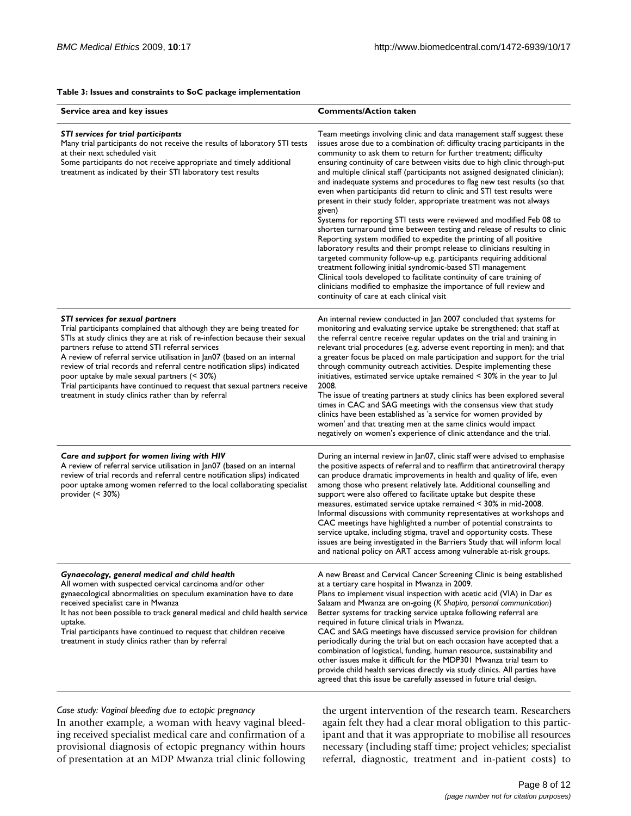#### <span id="page-7-0"></span>**Table 3: Issues and constraints to SoC package implementation**

| Service area and key issues                                                                                                                                                                                                                                                                                                                                                                                                                                                                                                                                                                      | <b>Comments/Action taken</b>                                                                                                                                                                                                                                                                                                                                                                                                                                                                                                                                                                                                                                                                                                                                                                                                                                                                                                                                                                                                                                                                                                                                                                                                                                        |  |
|--------------------------------------------------------------------------------------------------------------------------------------------------------------------------------------------------------------------------------------------------------------------------------------------------------------------------------------------------------------------------------------------------------------------------------------------------------------------------------------------------------------------------------------------------------------------------------------------------|---------------------------------------------------------------------------------------------------------------------------------------------------------------------------------------------------------------------------------------------------------------------------------------------------------------------------------------------------------------------------------------------------------------------------------------------------------------------------------------------------------------------------------------------------------------------------------------------------------------------------------------------------------------------------------------------------------------------------------------------------------------------------------------------------------------------------------------------------------------------------------------------------------------------------------------------------------------------------------------------------------------------------------------------------------------------------------------------------------------------------------------------------------------------------------------------------------------------------------------------------------------------|--|
| <b>STI</b> services for trial participants<br>Many trial participants do not receive the results of laboratory STI tests<br>at their next scheduled visit<br>Some participants do not receive appropriate and timely additional<br>treatment as indicated by their STI laboratory test results                                                                                                                                                                                                                                                                                                   | Team meetings involving clinic and data management staff suggest these<br>issues arose due to a combination of: difficulty tracing participants in the<br>community to ask them to return for further treatment; difficulty<br>ensuring continuity of care between visits due to high clinic through-put<br>and multiple clinical staff (participants not assigned designated clinician);<br>and inadequate systems and procedures to flag new test results (so that<br>even when participants did return to clinic and STI test results were<br>present in their study folder, appropriate treatment was not always<br>given)<br>Systems for reporting STI tests were reviewed and modified Feb 08 to<br>shorten turnaround time between testing and release of results to clinic<br>Reporting system modified to expedite the printing of all positive<br>laboratory results and their prompt release to clinicians resulting in<br>targeted community follow-up e.g. participants requiring additional<br>treatment following initial syndromic-based STI management<br>Clinical tools developed to facilitate continuity of care training of<br>clinicians modified to emphasize the importance of full review and<br>continuity of care at each clinical visit |  |
| <b>STI</b> services for sexual partners<br>Trial participants complained that although they are being treated for<br>STIs at study clinics they are at risk of re-infection because their sexual<br>partners refuse to attend STI referral services<br>A review of referral service utilisation in Jan07 (based on an internal<br>review of trial records and referral centre notification slips) indicated<br>poor uptake by male sexual partners $($ < 30%)<br>Trial participants have continued to request that sexual partners receive<br>treatment in study clinics rather than by referral | An internal review conducted in Jan 2007 concluded that systems for<br>monitoring and evaluating service uptake be strengthened; that staff at<br>the referral centre receive regular updates on the trial and training in<br>relevant trial procedures (e.g. adverse event reporting in men); and that<br>a greater focus be placed on male participation and support for the trial<br>through community outreach activities. Despite implementing these<br>initiatives, estimated service uptake remained < 30% in the year to Jul<br>2008.<br>The issue of treating partners at study clinics has been explored several<br>times in CAC and SAG meetings with the consensus view that study<br>clinics have been established as 'a service for women provided by<br>women' and that treating men at the same clinics would impact<br>negatively on women's experience of clinic attendance and the trial.                                                                                                                                                                                                                                                                                                                                                        |  |
| Care and support for women living with HIV<br>A review of referral service utilisation in Jan07 (based on an internal<br>review of trial records and referral centre notification slips) indicated<br>poor uptake among women referred to the local collaborating specialist<br>provider $(< 30\%)$                                                                                                                                                                                                                                                                                              | During an internal review in Jan07, clinic staff were advised to emphasise<br>the positive aspects of referral and to reaffirm that antiretroviral therapy<br>can produce dramatic improvements in health and quality of life, even<br>among those who present relatively late. Additional counselling and<br>support were also offered to facilitate uptake but despite these<br>measures, estimated service uptake remained < 30% in mid-2008.<br>Informal discussions with community representatives at workshops and<br>CAC meetings have highlighted a number of potential constraints to<br>service uptake, including stigma, travel and opportunity costs. These<br>issues are being investigated in the Barriers Study that will inform local<br>and national policy on ART access among vulnerable at-risk groups.                                                                                                                                                                                                                                                                                                                                                                                                                                         |  |
| Gynaecology, general medical and child health<br>All women with suspected cervical carcinoma and/or other<br>gynaecological abnormalities on speculum examination have to date<br>received specialist care in Mwanza<br>It has not been possible to track general medical and child health service<br>uptake.<br>Trial participants have continued to request that children receive<br>treatment in study clinics rather than by referral                                                                                                                                                        | A new Breast and Cervical Cancer Screening Clinic is being established<br>at a tertiary care hospital in Mwanza in 2009.<br>Plans to implement visual inspection with acetic acid (VIA) in Dar es<br>Salaam and Mwanza are on-going (K Shapiro, personal communication)<br>Better systems for tracking service uptake following referral are<br>required in future clinical trials in Mwanza.<br>CAC and SAG meetings have discussed service provision for children<br>periodically during the trial but on each occasion have accepted that a<br>combination of logistical, funding, human resource, sustainability and<br>other issues make it difficult for the MDP301 Mwanza trial team to<br>provide child health services directly via study clinics. All parties have<br>agreed that this issue be carefully assessed in future trial design.                                                                                                                                                                                                                                                                                                                                                                                                                |  |

#### *Case study: Vaginal bleeding due to ectopic pregnancy*

In another example, a woman with heavy vaginal bleeding received specialist medical care and confirmation of a provisional diagnosis of ectopic pregnancy within hours of presentation at an MDP Mwanza trial clinic following the urgent intervention of the research team. Researchers again felt they had a clear moral obligation to this participant and that it was appropriate to mobilise all resources necessary (including staff time; project vehicles; specialist referral, diagnostic, treatment and in-patient costs) to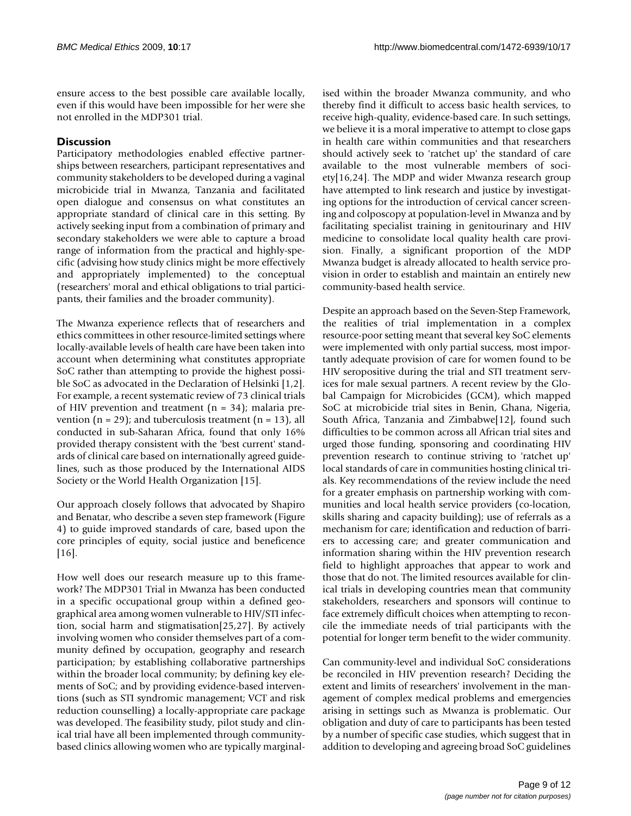ensure access to the best possible care available locally, even if this would have been impossible for her were she not enrolled in the MDP301 trial.

## **Discussion**

Participatory methodologies enabled effective partnerships between researchers, participant representatives and community stakeholders to be developed during a vaginal microbicide trial in Mwanza, Tanzania and facilitated open dialogue and consensus on what constitutes an appropriate standard of clinical care in this setting. By actively seeking input from a combination of primary and secondary stakeholders we were able to capture a broad range of information from the practical and highly-specific (advising how study clinics might be more effectively and appropriately implemented) to the conceptual (researchers' moral and ethical obligations to trial participants, their families and the broader community).

The Mwanza experience reflects that of researchers and ethics committees in other resource-limited settings where locally-available levels of health care have been taken into account when determining what constitutes appropriate SoC rather than attempting to provide the highest possible SoC as advocated in the Declaration of Helsinki [[1](#page-10-0),[2](#page-10-1)]. For example, a recent systematic review of 73 clinical trials of HIV prevention and treatment ( $n = 34$ ); malaria prevention ( $n = 29$ ); and tuberculosis treatment ( $n = 13$ ), all conducted in sub-Saharan Africa, found that only 16% provided therapy consistent with the 'best current' standards of clinical care based on internationally agreed guidelines, such as those produced by the International AIDS Society or the World Health Organization [[15\]](#page-11-5).

Our approach closely follows that advocated by Shapiro and Benatar, who describe a seven step framework (Figure [4\)](#page-10-2) to guide improved standards of care, based upon the core principles of equity, social justice and beneficence  $[16]$  $[16]$  $[16]$ .

How well does our research measure up to this framework? The MDP301 Trial in Mwanza has been conducted in a specific occupational group within a defined geographical area among women vulnerable to HIV/STI infection, social harm and stigmatisation[\[25](#page-11-15)[,27](#page-11-17)]. By actively involving women who consider themselves part of a community defined by occupation, geography and research participation; by establishing collaborative partnerships within the broader local community; by defining key elements of SoC; and by providing evidence-based interventions (such as STI syndromic management; VCT and risk reduction counselling) a locally-appropriate care package was developed. The feasibility study, pilot study and clinical trial have all been implemented through communitybased clinics allowing women who are typically marginalised within the broader Mwanza community, and who thereby find it difficult to access basic health services, to receive high-quality, evidence-based care. In such settings, we believe it is a moral imperative to attempt to close gaps in health care within communities and that researchers should actively seek to 'ratchet up' the standard of care available to the most vulnerable members of society[[16,](#page-11-12)[24\]](#page-11-13). The MDP and wider Mwanza research group have attempted to link research and justice by investigating options for the introduction of cervical cancer screening and colposcopy at population-level in Mwanza and by facilitating specialist training in genitourinary and HIV medicine to consolidate local quality health care provision. Finally, a significant proportion of the MDP Mwanza budget is already allocated to health service provision in order to establish and maintain an entirely new community-based health service.

Despite an approach based on the Seven-Step Framework, the realities of trial implementation in a complex resource-poor setting meant that several key SoC elements were implemented with only partial success, most importantly adequate provision of care for women found to be HIV seropositive during the trial and STI treatment services for male sexual partners. A recent review by the Global Campaign for Microbicides (GCM), which mapped SoC at microbicide trial sites in Benin, Ghana, Nigeria, South Africa, Tanzania and Zimbabwe[\[12\]](#page-11-2), found such difficulties to be common across all African trial sites and urged those funding, sponsoring and coordinating HIV prevention research to continue striving to 'ratchet up' local standards of care in communities hosting clinical trials. Key recommendations of the review include the need for a greater emphasis on partnership working with communities and local health service providers (co-location, skills sharing and capacity building); use of referrals as a mechanism for care; identification and reduction of barriers to accessing care; and greater communication and information sharing within the HIV prevention research field to highlight approaches that appear to work and those that do not. The limited resources available for clinical trials in developing countries mean that community stakeholders, researchers and sponsors will continue to face extremely difficult choices when attempting to reconcile the immediate needs of trial participants with the potential for longer term benefit to the wider community.

Can community-level and individual SoC considerations be reconciled in HIV prevention research? Deciding the extent and limits of researchers' involvement in the management of complex medical problems and emergencies arising in settings such as Mwanza is problematic. Our obligation and duty of care to participants has been tested by a number of specific case studies, which suggest that in addition to developing and agreeing broad SoC guidelines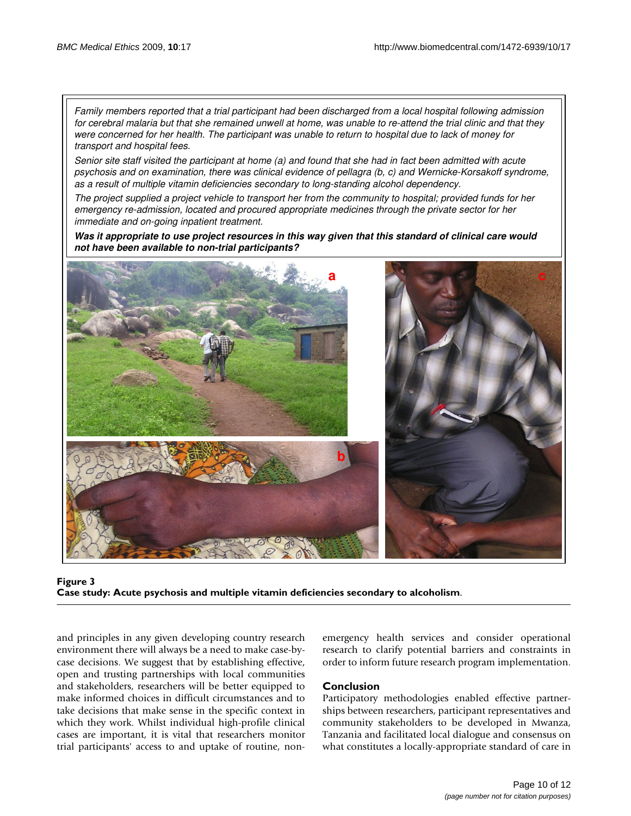<span id="page-9-0"></span>Family members reported that a trial participant had been discharged from a local hospital following admission for cerebral malaria but that she remained unwell at home, was unable to re-attend the trial clinic and that they were concerned for her health. The participant was unable to return to hospital due to lack of money for transport and hospital fees.

Senior site staff visited the participant at home (a) and found that she had in fact been admitted with acute psychosis and on examination, there was clinical evidence of pellagra (b, c) and Wernicke-Korsakoff syndrome, as a result of multiple vitamin deficiencies secondary to long-standing alcohol dependency.

The project supplied a project vehicle to transport her from the community to hospital; provided funds for her emergency re-admission, located and procured appropriate medicines through the private sector for her immediate and on-going inpatient treatment.

*Was it appropriate to use project resources in this way given that this standard of clinical care would not have been available to non-trial participants?* 





and principles in any given developing country research environment there will always be a need to make case-bycase decisions. We suggest that by establishing effective, open and trusting partnerships with local communities and stakeholders, researchers will be better equipped to make informed choices in difficult circumstances and to take decisions that make sense in the specific context in which they work. Whilst individual high-profile clinical cases are important, it is vital that researchers monitor trial participants' access to and uptake of routine, nonemergency health services and consider operational research to clarify potential barriers and constraints in order to inform future research program implementation.

## **Conclusion**

Participatory methodologies enabled effective partnerships between researchers, participant representatives and community stakeholders to be developed in Mwanza, Tanzania and facilitated local dialogue and consensus on what constitutes a locally-appropriate standard of care in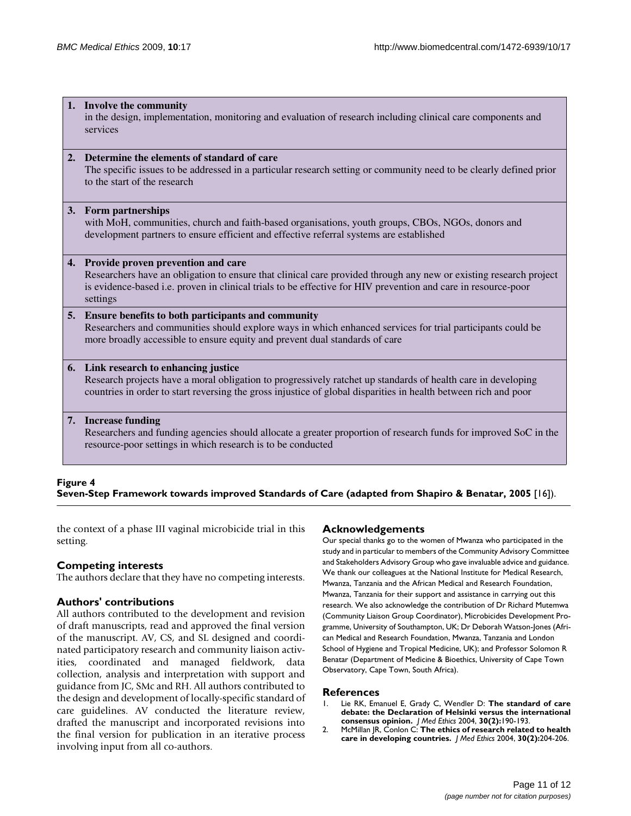#### <span id="page-10-2"></span>**1. Involve the community**

in the design, implementation, monitoring and evaluation of research including clinical care components and services

#### **2. Determine the elements of standard of care**

The specific issues to be addressed in a particular research setting or community need to be clearly defined prior to the start of the research

#### **3. Form partnerships**

with MoH, communities, church and faith-based organisations, youth groups, CBOs, NGOs, donors and development partners to ensure efficient and effective referral systems are established

#### **4. Provide proven prevention and care**

Researchers have an obligation to ensure that clinical care provided through any new or existing research project is evidence-based i.e. proven in clinical trials to be effective for HIV prevention and care in resource-poor settings

## **5. Ensure benefits to both participants and community**

Researchers and communities should explore ways in which enhanced services for trial participants could be more broadly accessible to ensure equity and prevent dual standards of care

#### **6. Link research to enhancing justice**

Research projects have a moral obligation to progressively ratchet up standards of health care in developing countries in order to start reversing the gross injustice of global disparities in health between rich and poor

## **7. Increase funding**  Researchers and funding agencies should allocate a greater proportion of research funds for improved SoC in the resource-poor settings in which research is to be conducted

## Seven-Step Framework towa **Figure 4** rds improved Standards of Care (adapted from Shapiro & Benatar, 2005 [\[16](#page-11-12)]) **Seven-Step Framework towards improved Standards of Care (adapted from Shapiro & Benatar, 2005** [[16](#page-11-12)]).

the context of a phase III vaginal microbicide trial in this setting.

#### **Competing interests**

The authors declare that they have no competing interests.

#### **Authors' contributions**

All authors contributed to the development and revision of draft manuscripts, read and approved the final version of the manuscript. AV, CS, and SL designed and coordinated participatory research and community liaison activities, coordinated and managed fieldwork, data collection, analysis and interpretation with support and guidance from JC, SMc and RH. All authors contributed to the design and development of locally-specific standard of care guidelines. AV conducted the literature review, drafted the manuscript and incorporated revisions into the final version for publication in an iterative process involving input from all co-authors.

#### **Acknowledgements**

Our special thanks go to the women of Mwanza who participated in the study and in particular to members of the Community Advisory Committee and Stakeholders Advisory Group who gave invaluable advice and guidance. We thank our colleagues at the National Institute for Medical Research, Mwanza, Tanzania and the African Medical and Research Foundation, Mwanza, Tanzania for their support and assistance in carrying out this research. We also acknowledge the contribution of Dr Richard Mutemwa (Community Liaison Group Coordinator), Microbicides Development Programme, University of Southampton, UK; Dr Deborah Watson-Jones (African Medical and Research Foundation, Mwanza, Tanzania and London School of Hygiene and Tropical Medicine, UK); and Professor Solomon R Benatar (Department of Medicine & Bioethics, University of Cape Town Observatory, Cape Town, South Africa).

#### **References**

- <span id="page-10-0"></span>1. Lie RK, Emanuel E, Grady C, Wendler D: **[The standard of care](http://www.ncbi.nlm.nih.gov/entrez/query.fcgi?cmd=Retrieve&db=PubMed&dopt=Abstract&list_uids=15082816) [debate: the Declaration of Helsinki versus the international](http://www.ncbi.nlm.nih.gov/entrez/query.fcgi?cmd=Retrieve&db=PubMed&dopt=Abstract&list_uids=15082816) [consensus opinion.](http://www.ncbi.nlm.nih.gov/entrez/query.fcgi?cmd=Retrieve&db=PubMed&dopt=Abstract&list_uids=15082816)** *J Med Ethics* 2004, **30(2):**190-193.
- <span id="page-10-1"></span>2. McMillan JR, Conlon C: **[The ethics of research related to health](http://www.ncbi.nlm.nih.gov/entrez/query.fcgi?cmd=Retrieve&db=PubMed&dopt=Abstract&list_uids=15082819) [care in developing countries.](http://www.ncbi.nlm.nih.gov/entrez/query.fcgi?cmd=Retrieve&db=PubMed&dopt=Abstract&list_uids=15082819)** *J Med Ethics* 2004, **30(2):**204-206.